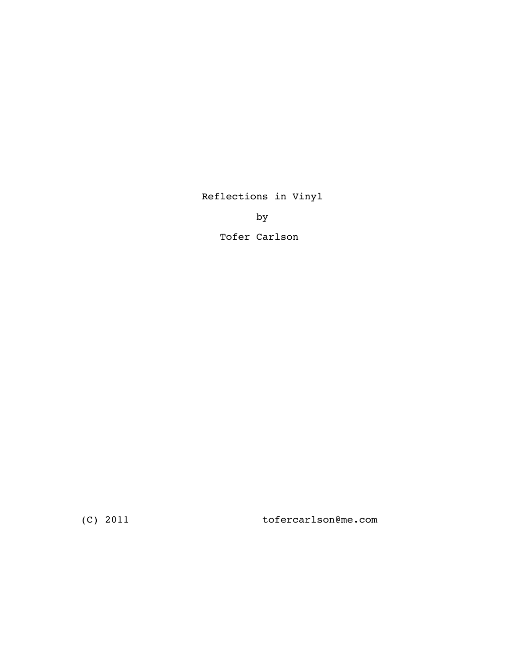Reflections in Vinyl

by

Tofer Carlson

(C) 2011 tofercarlson@me.com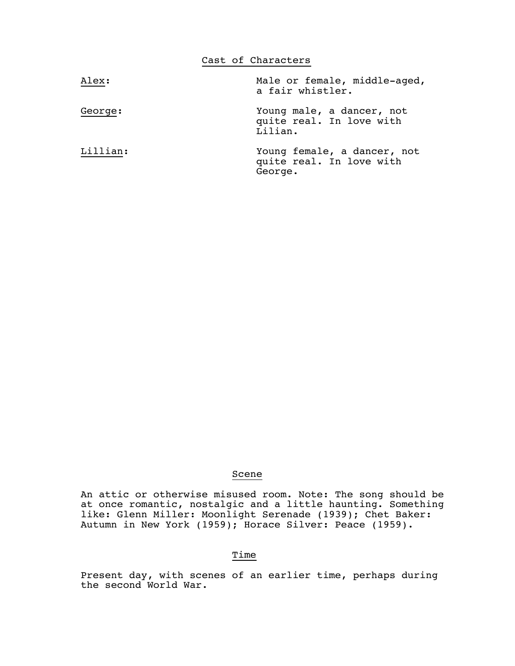|          | Cast of Characters                                                 |
|----------|--------------------------------------------------------------------|
| Alex:    | Male or female, middle-aged,<br>a fair whistler.                   |
| George:  | Young male, a dancer, not<br>quite real. In love with<br>Lilian.   |
| Lillian: | Young female, a dancer, not<br>quite real. In love with<br>George. |

## Scene

 An attic or otherwise misused room. Note: The song should be at once romantic, nostalgic and a little haunting. Something like: Glenn Miller: Moonlight Serenade (1939); Chet Baker: Autumn in New York (1959); Horace Silver: Peace (1959).

## Time

 Present day, with scenes of an earlier time, perhaps during the second World War.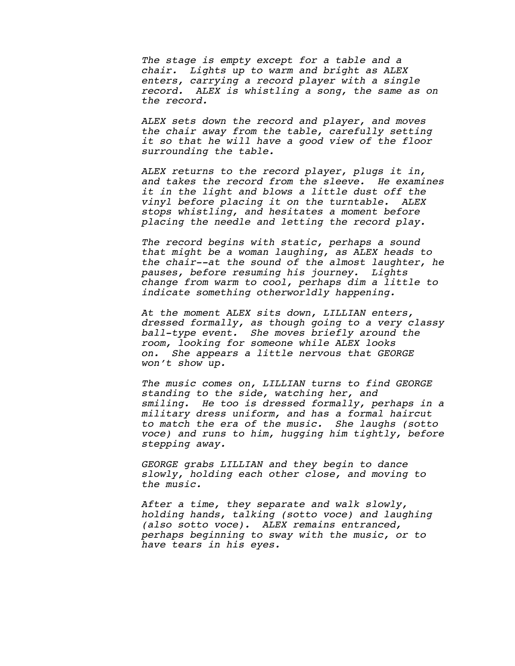The stage is empty except for a table and a<br>chair. Lights up to warm and bright as ALEX<br>enters, carrying a record player with a single<br>record. ALEX is whistling a song, the same as on<br>the record.

*ALEX sets down the record and player, and moves the chair away from the table, carefully setting it so that he will have a good view of the floor surrounding the table.*

ALEX returns to the record player, plugs it in,<br>and takes the record from the sleeve. He examines<br>it in the light and blows a little dust off the<br>vinyl before placing it on the turntable. ALEX<br>stops whistling, and hesitate

The record begins with static, perhaps a sound<br>that might be a woman laughing, as ALEX heads to<br>the chair--at the sound of the almost laughter, he<br>pauses, before resuming his journey. Lights<br>change from warm to cool, perha

 *At the moment ALEX sits down, LILLIAN enters, dressed formally, as though going to a very classy ball-type event. She moves briefly around the room, looking for someone while ALEX looks on. She appears a little nervous that GEORGE won't show up.*

 *The music comes on, LILLIAN turns to find GEORGE standing to the side, watching her, and smiling. He too is dressed formally, perhaps in a military dress uniform, and has a formal haircut to match the era of the music. She laughs (sotto voce) and runs to him, hugging him tightly, before stepping away.*

 *GEORGE grabs LILLIAN and they begin to dance slowly, holding each other close, and moving to the music.*

After a time, they separate and walk slowly,<br>holding hands, talking (sotto voce) and laughing<br>(also sotto voce). ALEX remains entranced,<br>perhaps beginning to sway with the music, or to<br>have tears in his eyes.